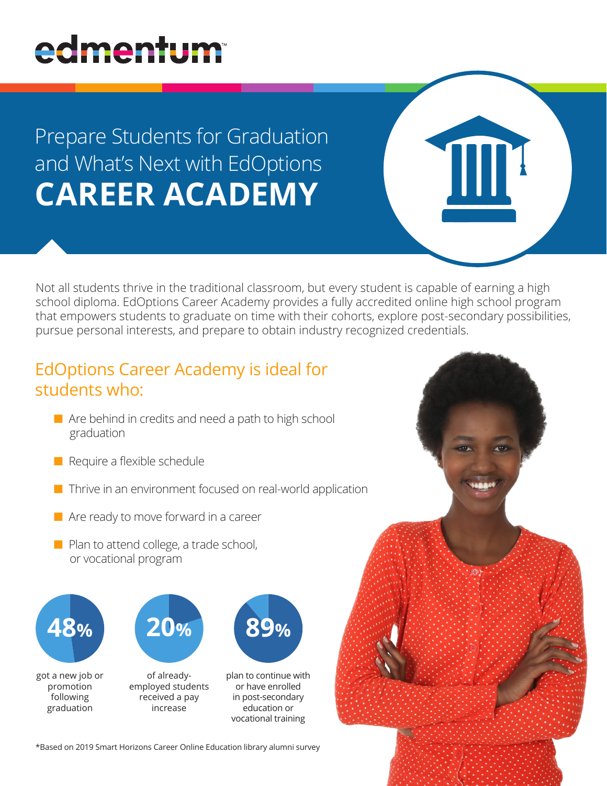# edmentum

## Prepare Students for Graduation and What's Next with EdOptions **CAREER ACADEMY**

Not all students thrive in the traditional classroom, but every student is capable of earning a high school diploma. EdOptions Career Academy provides a fully accredited online high school program that empowers students to graduate on time with their cohorts, explore post-secondary possibilities, pursue personal interests, and prepare to obtain industry recognized credentials.

### EdOptions Career Academy is ideal for students who:

- $\blacksquare$  Are behind in credits and need a path to high school graduation
- $\blacksquare$  Require a flexible schedule
- $\blacksquare$  Thrive in an environment focused on real-world application
- $\blacksquare$  Are ready to move forward in a career
- $\blacksquare$  Plan to attend college, a trade school, or vocational program



got a new job or promotion following graduation



of alreadyemployed students received a pay increase

plan to continue with or have enrolled in post-secondary education or vocational training

\*Based on 2019 Smart Horizons Career Online Education library alumni survey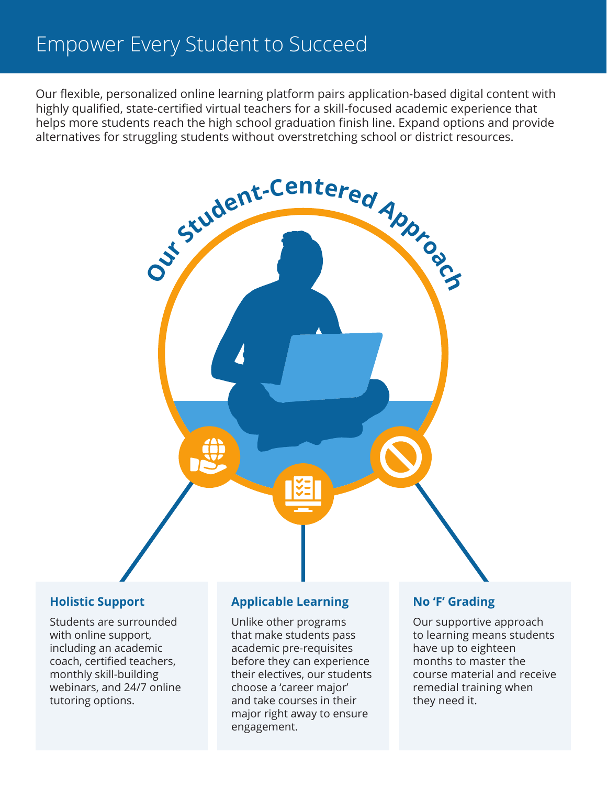### Empower Every Student to Succeed

Our flexible, personalized online learning platform pairs application-based digital content with highly qualified, state-certified virtual teachers for a skill-focused academic experience that helps more students reach the high school graduation finish line. Expand options and provide alternatives for struggling students without overstretching school or district resources.



#### **Holistic Support**

Students are surrounded with online support, including an academic coach, certified teachers, monthly skill-building webinars, and 24/7 online tutoring options.

#### **Applicable Learning**

Unlike other programs that make students pass academic pre-requisites before they can experience their electives, our students choose a 'career major' and take courses in their major right away to ensure engagement.

#### **No 'F' Grading**

Our supportive approach to learning means students have up to eighteen months to master the course material and receive remedial training when they need it.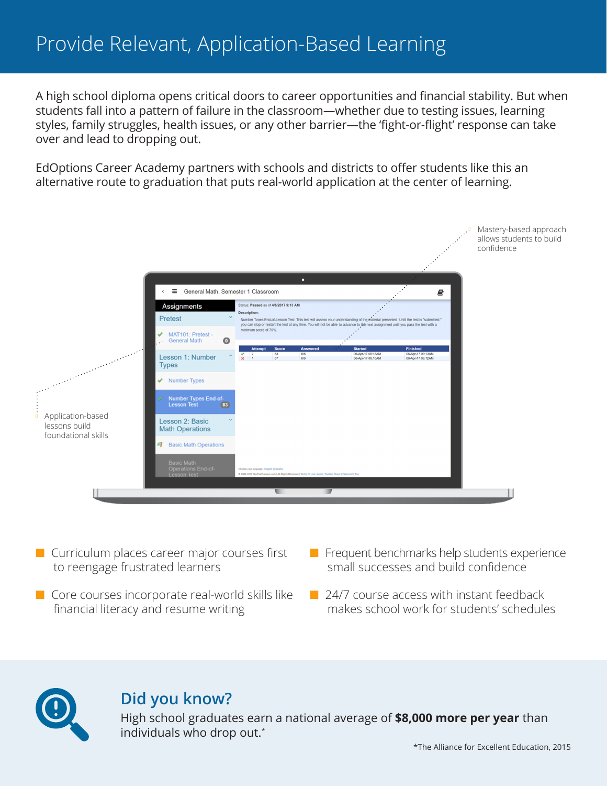A high school diploma opens critical doors to career opportunities and financial stability. But when students fall into a pattern of failure in the classroom—whether due to testing issues, learning styles, family struggles, health issues, or any other barrier—the 'fight-or-flight' response can take over and lead to dropping out.

EdOptions Career Academy partners with schools and districts to offer students like this an alternative route to graduation that puts real-world application at the center of learning.



- $\blacksquare$  Curriculum places career major courses first to reengage frustrated learners
- $\blacksquare$  Core courses incorporate real-world skills like financial literacy and resume writing
- $\blacksquare$  Frequent benchmarks help students experience small successes and build confidence
- $\Box$  24/7 course access with instant feedback makes school work for students' schedules

#### **Did you know?**

High school graduates earn a national average of **\$8,000 more per year** than individuals who drop out.\*